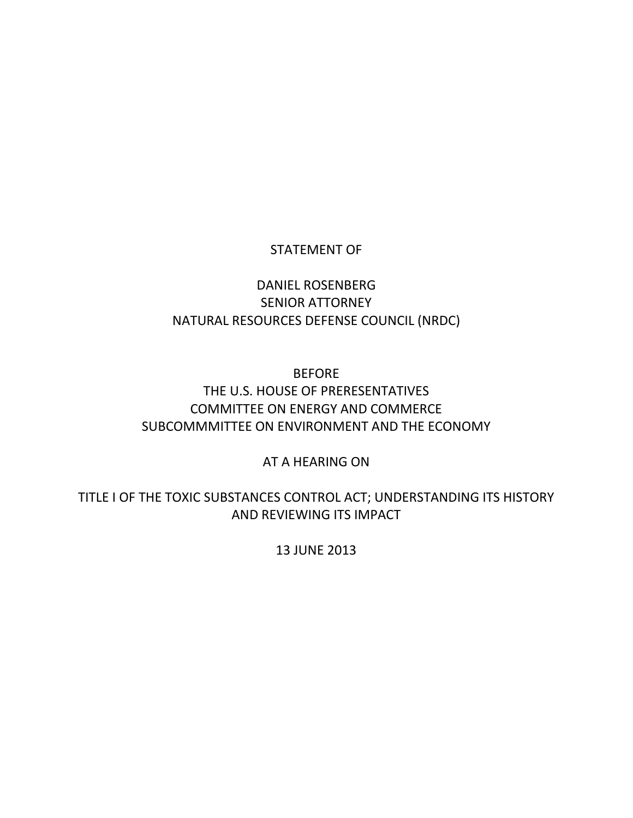## STATEMENT OF

# DANIEL ROSENBERG SENIOR ATTORNEY NATURAL RESOURCES DEFENSE COUNCIL (NRDC)

# BEFORE THE U.S. HOUSE OF PRERESENTATIVES COMMITTEE ON ENERGY AND COMMERCE SUBCOMMMITTEE ON ENVIRONMENT AND THE ECONOMY

## AT A HEARING ON

TITLE I OF THE TOXIC SUBSTANCES CONTROL ACT; UNDERSTANDING ITS HISTORY AND REVIEWING ITS IMPACT

13 JUNE 2013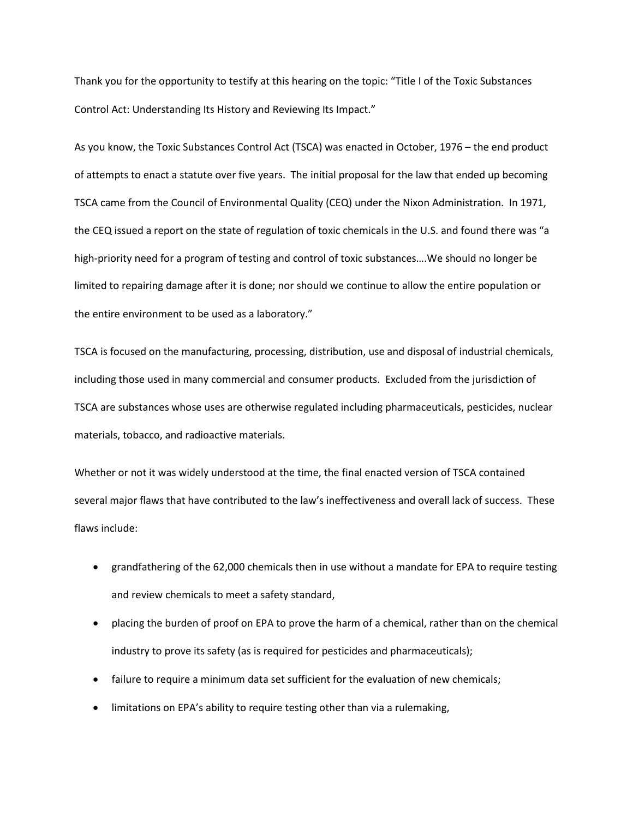Thank you for the opportunity to testify at this hearing on the topic: "Title I of the Toxic Substances Control Act: Understanding Its History and Reviewing Its Impact."

As you know, the Toxic Substances Control Act (TSCA) was enacted in October, 1976 – the end product of attempts to enact a statute over five years. The initial proposal for the law that ended up becoming TSCA came from the Council of Environmental Quality (CEQ) under the Nixon Administration. In 1971, the CEQ issued a report on the state of regulation of toxic chemicals in the U.S. and found there was "a high-priority need for a program of testing and control of toxic substances….We should no longer be limited to repairing damage after it is done; nor should we continue to allow the entire population or the entire environment to be used as a laboratory."

TSCA is focused on the manufacturing, processing, distribution, use and disposal of industrial chemicals, including those used in many commercial and consumer products. Excluded from the jurisdiction of TSCA are substances whose uses are otherwise regulated including pharmaceuticals, pesticides, nuclear materials, tobacco, and radioactive materials.

Whether or not it was widely understood at the time, the final enacted version of TSCA contained several major flaws that have contributed to the law's ineffectiveness and overall lack of success. These flaws include:

- grandfathering of the 62,000 chemicals then in use without a mandate for EPA to require testing and review chemicals to meet a safety standard,
- placing the burden of proof on EPA to prove the harm of a chemical, rather than on the chemical industry to prove its safety (as is required for pesticides and pharmaceuticals);
- failure to require a minimum data set sufficient for the evaluation of new chemicals;
- limitations on EPA's ability to require testing other than via a rulemaking,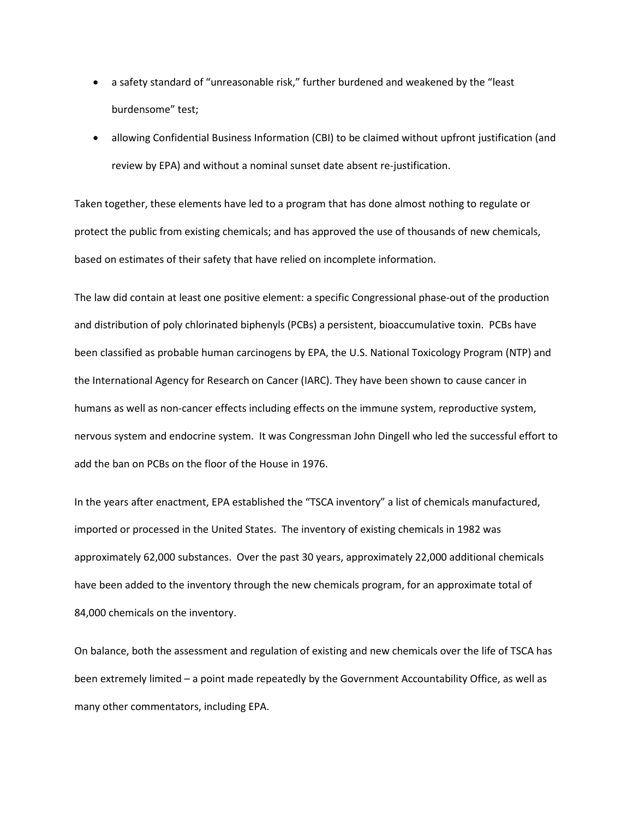- a safety standard of "unreasonable risk," further burdened and weakened by the "least burdensome" test;
- allowing Confidential Business Information (CBI) to be claimed without upfront justification (and review by EPA) and without a nominal sunset date absent re-justification.

Taken together, these elements have led to a program that has done almost nothing to regulate or protect the public from existing chemicals; and has approved the use of thousands of new chemicals, based on estimates of their safety that have relied on incomplete information.

The law did contain at least one positive element: a specific Congressional phase-out of the production and distribution of poly chlorinated biphenyls (PCBs) a persistent, bioaccumulative toxin. PCBs have been classified as probable human carcinogens by EPA, the U.S. National Toxicology Program (NTP) and the International Agency for Research on Cancer (IARC). They have been shown to cause cancer in humans as well as non-cancer effects including effects on the immune system, reproductive system, nervous system and endocrine system. It was Congressman John Dingell who led the successful effort to add the ban on PCBs on the floor of the House in 1976.

In the years after enactment, EPA established the "TSCA inventory" a list of chemicals manufactured, imported or processed in the United States. The inventory of existing chemicals in 1982 was approximately 62,000 substances. Over the past 30 years, approximately 22,000 additional chemicals have been added to the inventory through the new chemicals program, for an approximate total of 84,000 chemicals on the inventory.

On balance, both the assessment and regulation of existing and new chemicals over the life of TSCA has been extremely limited – a point made repeatedly by the Government Accountability Office, as well as many other commentators, including EPA.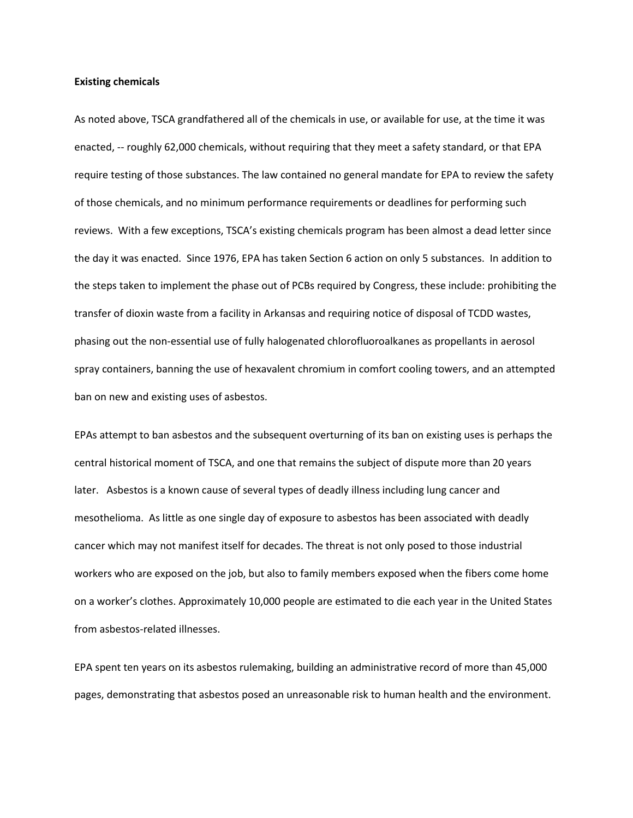#### **Existing chemicals**

As noted above, TSCA grandfathered all of the chemicals in use, or available for use, at the time it was enacted, -- roughly 62,000 chemicals, without requiring that they meet a safety standard, or that EPA require testing of those substances. The law contained no general mandate for EPA to review the safety of those chemicals, and no minimum performance requirements or deadlines for performing such reviews. With a few exceptions, TSCA's existing chemicals program has been almost a dead letter since the day it was enacted. Since 1976, EPA has taken Section 6 action on only 5 substances. In addition to the steps taken to implement the phase out of PCBs required by Congress, these include: prohibiting the transfer of dioxin waste from a facility in Arkansas and requiring notice of disposal of TCDD wastes, phasing out the non-essential use of fully halogenated chlorofluoroalkanes as propellants in aerosol spray containers, banning the use of hexavalent chromium in comfort cooling towers, and an attempted ban on new and existing uses of asbestos.

EPAs attempt to ban asbestos and the subsequent overturning of its ban on existing uses is perhaps the central historical moment of TSCA, and one that remains the subject of dispute more than 20 years later. Asbestos is a known cause of several types of deadly illness including lung cancer and mesothelioma. As little as one single day of exposure to asbestos has been associated with deadly cancer which may not manifest itself for decades. The threat is not only posed to those industrial workers who are exposed on the job, but also to family members exposed when the fibers come home on a worker's clothes. Approximately 10,000 people are estimated to die each year in the United States from asbestos-related illnesses.

EPA spent ten years on its asbestos rulemaking, building an administrative record of more than 45,000 pages, demonstrating that asbestos posed an unreasonable risk to human health and the environment.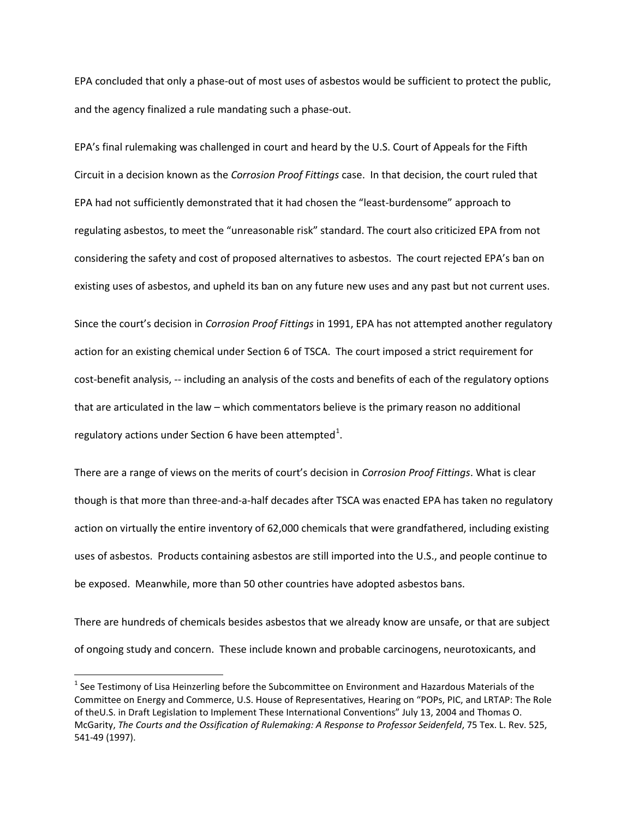EPA concluded that only a phase-out of most uses of asbestos would be sufficient to protect the public, and the agency finalized a rule mandating such a phase-out.

EPA's final rulemaking was challenged in court and heard by the U.S. Court of Appeals for the Fifth Circuit in a decision known as the *Corrosion Proof Fittings* case. In that decision, the court ruled that EPA had not sufficiently demonstrated that it had chosen the "least-burdensome" approach to regulating asbestos, to meet the "unreasonable risk" standard. The court also criticized EPA from not considering the safety and cost of proposed alternatives to asbestos. The court rejected EPA's ban on existing uses of asbestos, and upheld its ban on any future new uses and any past but not current uses.

Since the court's decision in *Corrosion Proof Fittings* in 1991, EPA has not attempted another regulatory action for an existing chemical under Section 6 of TSCA. The court imposed a strict requirement for cost-benefit analysis, -- including an analysis of the costs and benefits of each of the regulatory options that are articulated in the law – which commentators believe is the primary reason no additional regulatory actions under Section 6 have been attempted<sup>[1](#page-4-0)</sup>.

There are a range of views on the merits of court's decision in *Corrosion Proof Fittings*. What is clear though is that more than three-and-a-half decades after TSCA was enacted EPA has taken no regulatory action on virtually the entire inventory of 62,000 chemicals that were grandfathered, including existing uses of asbestos. Products containing asbestos are still imported into the U.S., and people continue to be exposed. Meanwhile, more than 50 other countries have adopted asbestos bans.

There are hundreds of chemicals besides asbestos that we already know are unsafe, or that are subject of ongoing study and concern. These include known and probable carcinogens, neurotoxicants, and

<span id="page-4-0"></span> $1$  See Testimony of Lisa Heinzerling before the Subcommittee on Environment and Hazardous Materials of the Committee on Energy and Commerce, U.S. House of Representatives, Hearing on "POPs, PIC, and LRTAP: The Role of theU.S. in Draft Legislation to Implement These International Conventions" July 13, 2004 and Thomas O. McGarity, *The Courts and the Ossification of Rulemaking: A Response to Professor Seidenfeld*, 75 Tex. L. Rev. 525, 541-49 (1997).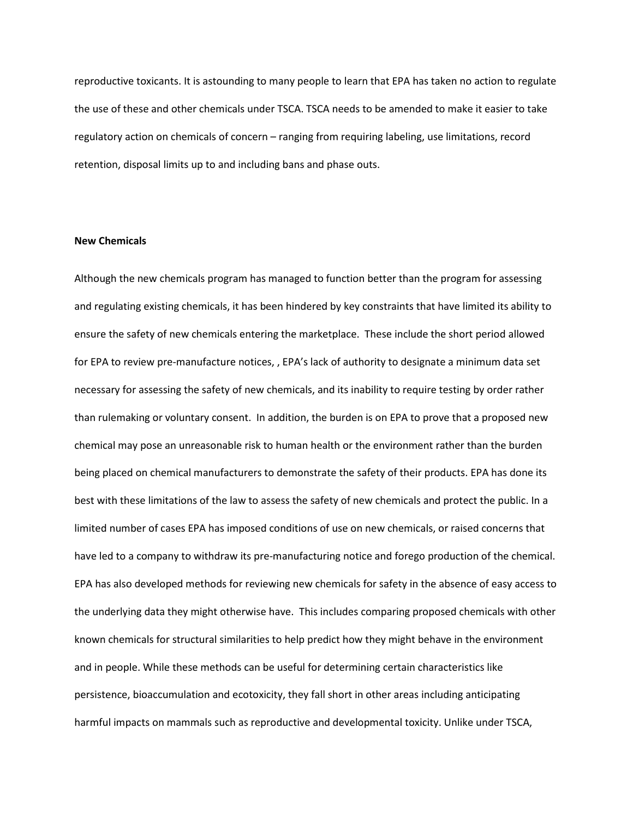reproductive toxicants. It is astounding to many people to learn that EPA has taken no action to regulate the use of these and other chemicals under TSCA. TSCA needs to be amended to make it easier to take regulatory action on chemicals of concern – ranging from requiring labeling, use limitations, record retention, disposal limits up to and including bans and phase outs.

## **New Chemicals**

Although the new chemicals program has managed to function better than the program for assessing and regulating existing chemicals, it has been hindered by key constraints that have limited its ability to ensure the safety of new chemicals entering the marketplace. These include the short period allowed for EPA to review pre-manufacture notices, , EPA's lack of authority to designate a minimum data set necessary for assessing the safety of new chemicals, and its inability to require testing by order rather than rulemaking or voluntary consent. In addition, the burden is on EPA to prove that a proposed new chemical may pose an unreasonable risk to human health or the environment rather than the burden being placed on chemical manufacturers to demonstrate the safety of their products. EPA has done its best with these limitations of the law to assess the safety of new chemicals and protect the public. In a limited number of cases EPA has imposed conditions of use on new chemicals, or raised concerns that have led to a company to withdraw its pre-manufacturing notice and forego production of the chemical. EPA has also developed methods for reviewing new chemicals for safety in the absence of easy access to the underlying data they might otherwise have. This includes comparing proposed chemicals with other known chemicals for structural similarities to help predict how they might behave in the environment and in people. While these methods can be useful for determining certain characteristics like persistence, bioaccumulation and ecotoxicity, they fall short in other areas including anticipating harmful impacts on mammals such as reproductive and developmental toxicity. Unlike under TSCA,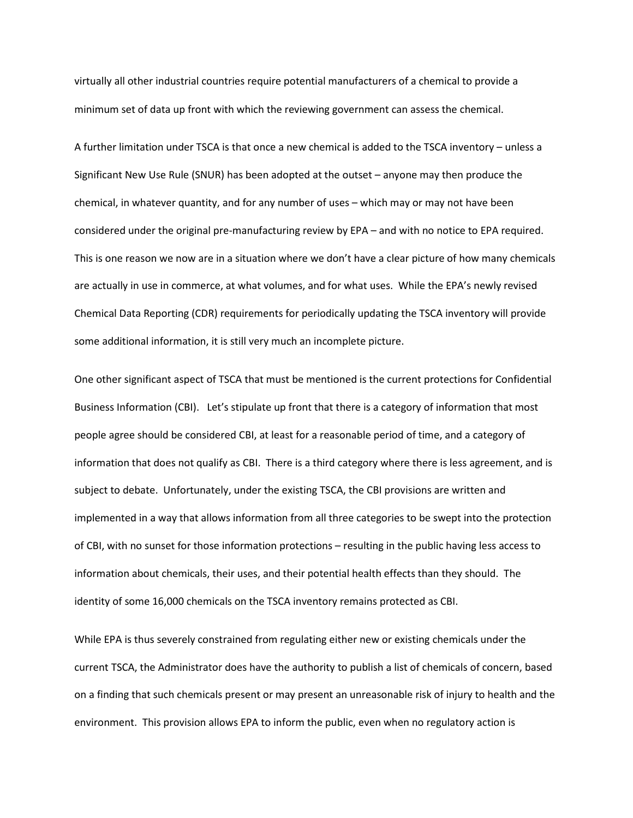virtually all other industrial countries require potential manufacturers of a chemical to provide a minimum set of data up front with which the reviewing government can assess the chemical.

A further limitation under TSCA is that once a new chemical is added to the TSCA inventory – unless a Significant New Use Rule (SNUR) has been adopted at the outset – anyone may then produce the chemical, in whatever quantity, and for any number of uses – which may or may not have been considered under the original pre-manufacturing review by EPA – and with no notice to EPA required. This is one reason we now are in a situation where we don't have a clear picture of how many chemicals are actually in use in commerce, at what volumes, and for what uses. While the EPA's newly revised Chemical Data Reporting (CDR) requirements for periodically updating the TSCA inventory will provide some additional information, it is still very much an incomplete picture.

One other significant aspect of TSCA that must be mentioned is the current protections for Confidential Business Information (CBI). Let's stipulate up front that there is a category of information that most people agree should be considered CBI, at least for a reasonable period of time, and a category of information that does not qualify as CBI. There is a third category where there is less agreement, and is subject to debate. Unfortunately, under the existing TSCA, the CBI provisions are written and implemented in a way that allows information from all three categories to be swept into the protection of CBI, with no sunset for those information protections – resulting in the public having less access to information about chemicals, their uses, and their potential health effects than they should. The identity of some 16,000 chemicals on the TSCA inventory remains protected as CBI.

While EPA is thus severely constrained from regulating either new or existing chemicals under the current TSCA, the Administrator does have the authority to publish a list of chemicals of concern, based on a finding that such chemicals present or may present an unreasonable risk of injury to health and the environment. This provision allows EPA to inform the public, even when no regulatory action is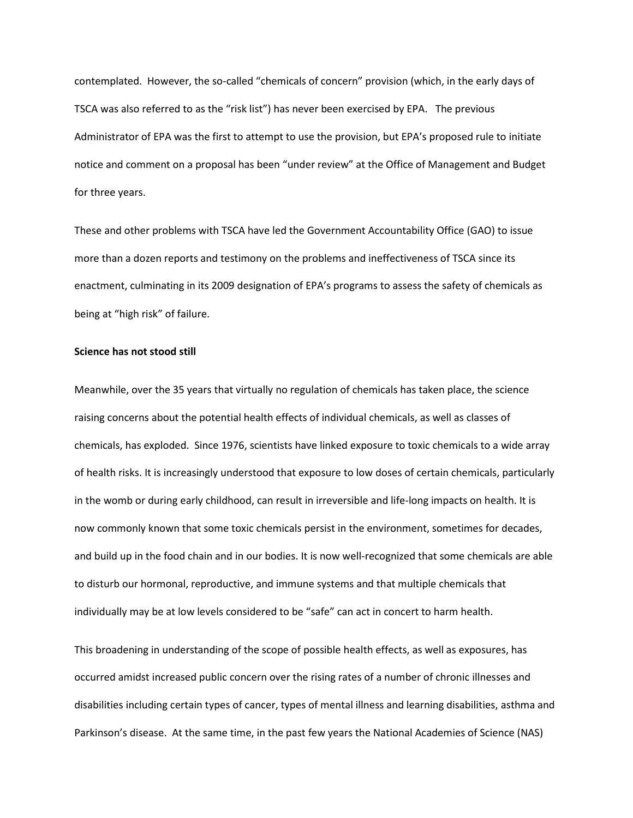contemplated. However, the so-called "chemicals of concern" provision (which, in the early days of TSCA was also referred to as the "risk list") has never been exercised by EPA. The previous Administrator of EPA was the first to attempt to use the provision, but EPA's proposed rule to initiate notice and comment on a proposal has been "under review" at the Office of Management and Budget for three years.

These and other problems with TSCA have led the Government Accountability Office (GAO) to issue more than a dozen reports and testimony on the problems and ineffectiveness of TSCA since its enactment, culminating in its 2009 designation of EPA's programs to assess the safety of chemicals as being at "high risk" of failure.

### **Science has not stood still**

Meanwhile, over the 35 years that virtually no regulation of chemicals has taken place, the science raising concerns about the potential health effects of individual chemicals, as well as classes of chemicals, has exploded. Since 1976, scientists have linked exposure to toxic chemicals to a wide array of health risks. It is increasingly understood that exposure to low doses of certain chemicals, particularly in the womb or during early childhood, can result in irreversible and life-long impacts on health. It is now commonly known that some toxic chemicals persist in the environment, sometimes for decades, and build up in the food chain and in our bodies. It is now well-recognized that some chemicals are able to disturb our hormonal, reproductive, and immune systems and that multiple chemicals that individually may be at low levels considered to be "safe" can act in concert to harm health.

This broadening in understanding of the scope of possible health effects, as well as exposures, has occurred amidst increased public concern over the rising rates of a number of chronic illnesses and disabilities including certain types of cancer, types of mental illness and learning disabilities, asthma and Parkinson's disease. At the same time, in the past few years the National Academies of Science (NAS)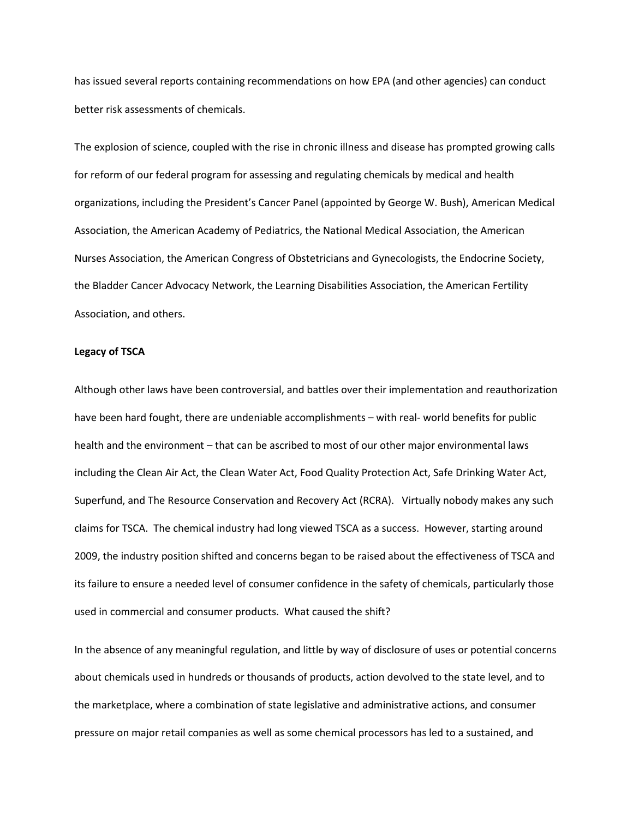has issued several reports containing recommendations on how EPA (and other agencies) can conduct better risk assessments of chemicals.

The explosion of science, coupled with the rise in chronic illness and disease has prompted growing calls for reform of our federal program for assessing and regulating chemicals by medical and health organizations, including the President's Cancer Panel (appointed by George W. Bush), American Medical Association, the American Academy of Pediatrics, the National Medical Association, the American Nurses Association, the American Congress of Obstetricians and Gynecologists, the Endocrine Society, the Bladder Cancer Advocacy Network, the Learning Disabilities Association, the American Fertility Association, and others.

## **Legacy of TSCA**

Although other laws have been controversial, and battles over their implementation and reauthorization have been hard fought, there are undeniable accomplishments – with real- world benefits for public health and the environment – that can be ascribed to most of our other major environmental laws including the Clean Air Act, the Clean Water Act, Food Quality Protection Act, Safe Drinking Water Act, Superfund, and The Resource Conservation and Recovery Act (RCRA). Virtually nobody makes any such claims for TSCA. The chemical industry had long viewed TSCA as a success. However, starting around 2009, the industry position shifted and concerns began to be raised about the effectiveness of TSCA and its failure to ensure a needed level of consumer confidence in the safety of chemicals, particularly those used in commercial and consumer products. What caused the shift?

In the absence of any meaningful regulation, and little by way of disclosure of uses or potential concerns about chemicals used in hundreds or thousands of products, action devolved to the state level, and to the marketplace, where a combination of state legislative and administrative actions, and consumer pressure on major retail companies as well as some chemical processors has led to a sustained, and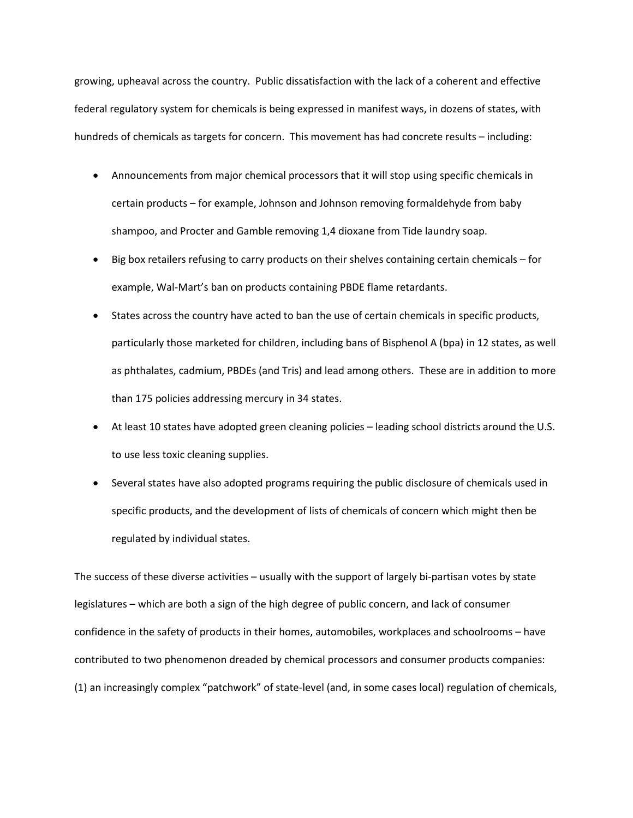growing, upheaval across the country. Public dissatisfaction with the lack of a coherent and effective federal regulatory system for chemicals is being expressed in manifest ways, in dozens of states, with hundreds of chemicals as targets for concern. This movement has had concrete results – including:

- Announcements from major chemical processors that it will stop using specific chemicals in certain products – for example, Johnson and Johnson removing formaldehyde from baby shampoo, and Procter and Gamble removing 1,4 dioxane from Tide laundry soap.
- Big box retailers refusing to carry products on their shelves containing certain chemicals for example, Wal-Mart's ban on products containing PBDE flame retardants.
- States across the country have acted to ban the use of certain chemicals in specific products, particularly those marketed for children, including bans of Bisphenol A (bpa) in 12 states, as well as phthalates, cadmium, PBDEs (and Tris) and lead among others. These are in addition to more than 175 policies addressing mercury in 34 states.
- At least 10 states have adopted green cleaning policies leading school districts around the U.S. to use less toxic cleaning supplies.
- Several states have also adopted programs requiring the public disclosure of chemicals used in specific products, and the development of lists of chemicals of concern which might then be regulated by individual states.

The success of these diverse activities – usually with the support of largely bi-partisan votes by state legislatures – which are both a sign of the high degree of public concern, and lack of consumer confidence in the safety of products in their homes, automobiles, workplaces and schoolrooms – have contributed to two phenomenon dreaded by chemical processors and consumer products companies: (1) an increasingly complex "patchwork" of state-level (and, in some cases local) regulation of chemicals,